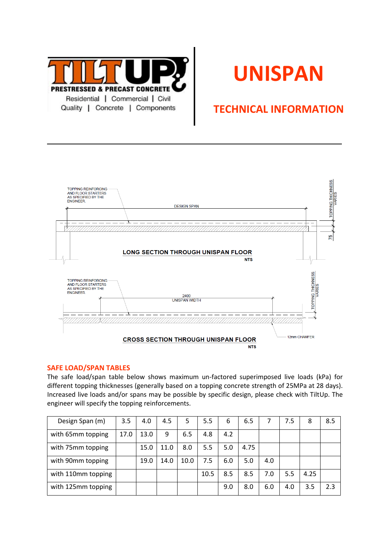

# **UNISPAN**

# **TECHNICAL INFORMATION**



## **SAFE LOAD/SPAN TABLES**

The safe load/span table below shows maximum un-factored superimposed live loads (kPa) for different topping thicknesses (generally based on a topping concrete strength of 25MPa at 28 days). Increased live loads and/or spans may be possible by specific design, please check with TiltUp. The engineer will specify the topping reinforcements.

| Design Span (m)    | 3.5  | 4.0  | 4.5  | 5    | 5.5  | 6   | 6.5  |     | 7.5 | 8    | 8.5 |
|--------------------|------|------|------|------|------|-----|------|-----|-----|------|-----|
| with 65mm topping  | 17.0 | 13.0 | 9    | 6.5  | 4.8  | 4.2 |      |     |     |      |     |
| with 75mm topping  |      | 15.0 | 11.0 | 8.0  | 5.5  | 5.0 | 4.75 |     |     |      |     |
| with 90mm topping  |      | 19.0 | 14.0 | 10.0 | 7.5  | 6.0 | 5.0  | 4.0 |     |      |     |
| with 110mm topping |      |      |      |      | 10.5 | 8.5 | 8.5  | 7.0 | 5.5 | 4.25 |     |
| with 125mm topping |      |      |      |      |      | 9.0 | 8.0  | 6.0 | 4.0 | 3.5  | 2.3 |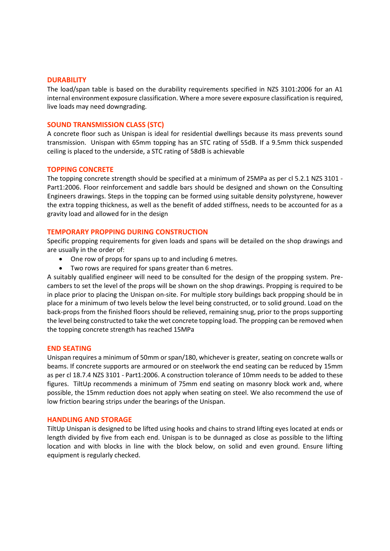#### **DURABILITY**

The load/span table is based on the durability requirements specified in NZS 3101:2006 for an A1 internal environment exposure classification. Where a more severe exposure classification is required, live loads may need downgrading.

## **SOUND TRANSMISSION CLASS (STC)**

A concrete floor such as Unispan is ideal for residential dwellings because its mass prevents sound transmission. Unispan with 65mm topping has an STC rating of 55dB. If a 9.5mm thick suspended ceiling is placed to the underside, a STC rating of 58dB is achievable

#### **TOPPING CONCRETE**

The topping concrete strength should be specified at a minimum of 25MPa as per cl 5.2.1 NZS 3101 - Part1:2006. Floor reinforcement and saddle bars should be designed and shown on the Consulting Engineers drawings. Steps in the topping can be formed using suitable density polystyrene, however the extra topping thickness, as well as the benefit of added stiffness, needs to be accounted for as a gravity load and allowed for in the design

#### **TEMPORARY PROPPING DURING CONSTRUCTION**

Specific propping requirements for given loads and spans will be detailed on the shop drawings and are usually in the order of:

- One row of props for spans up to and including 6 metres.
- Two rows are required for spans greater than 6 metres.

A suitably qualified engineer will need to be consulted for the design of the propping system. Precambers to set the level of the props will be shown on the shop drawings. Propping is required to be in place prior to placing the Unispan on-site. For multiple story buildings back propping should be in place for a minimum of two levels below the level being constructed, or to solid ground. Load on the back-props from the finished floors should be relieved, remaining snug, prior to the props supporting the level being constructed to take the wet concrete topping load. The propping can be removed when the topping concrete strength has reached 15MPa

#### **END SEATING**

Unispan requires a minimum of 50mm or span/180, whichever is greater, seating on concrete walls or beams. If concrete supports are armoured or on steelwork the end seating can be reduced by 15mm as per cl 18.7.4 NZS 3101 - Part1:2006. A construction tolerance of 10mm needs to be added to these figures. TiltUp recommends a minimum of 75mm end seating on masonry block work and, where possible, the 15mm reduction does not apply when seating on steel. We also recommend the use of low friction bearing strips under the bearings of the Unispan.

#### **HANDLING AND STORAGE**

TiltUp Unispan is designed to be lifted using hooks and chains to strand lifting eyes located at ends or length divided by five from each end. Unispan is to be dunnaged as close as possible to the lifting location and with blocks in line with the block below, on solid and even ground. Ensure lifting equipment is regularly checked.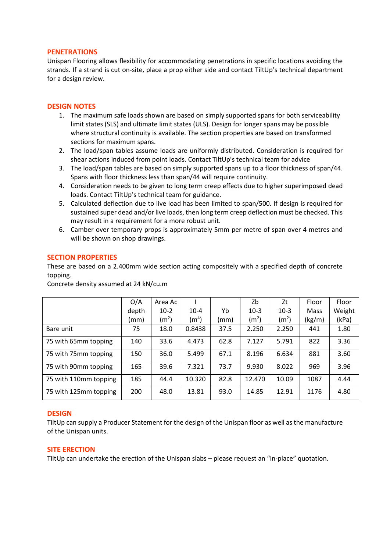## **PENETRATIONS**

Unispan Flooring allows flexibility for accommodating penetrations in specific locations avoiding the strands. If a strand is cut on-site, place a prop either side and contact TiltUp's technical department for a design review.

#### **DESIGN NOTES**

- 1. The maximum safe loads shown are based on simply supported spans for both serviceability limit states (SLS) and ultimate limit states (ULS). Design for longer spans may be possible where structural continuity is available. The section properties are based on transformed sections for maximum spans.
- 2. The load/span tables assume loads are uniformly distributed. Consideration is required for shear actions induced from point loads. Contact TiltUp's technical team for advice
- 3. The load/span tables are based on simply supported spans up to a floor thickness of span/44. Spans with floor thickness less than span/44 will require continuity.
- 4. Consideration needs to be given to long term creep effects due to higher superimposed dead loads. Contact TiltUp's technical team for guidance.
- 5. Calculated deflection due to live load has been limited to span/500. If design is required for sustained super dead and/or live loads, then long term creep deflection must be checked. This may result in a requirement for a more robust unit.
- 6. Camber over temporary props is approximately 5mm per metre of span over 4 metres and will be shown on shop drawings.

## **SECTION PROPERTIES**

These are based on a 2.400mm wide section acting compositely with a specified depth of concrete topping.

|                       | O/A   | Area Ac           |                   |      | Zb                | Zt                | Floor  | Floor  |
|-----------------------|-------|-------------------|-------------------|------|-------------------|-------------------|--------|--------|
|                       | depth | $10-2$            | $10 - 4$          | Yb   | $10-3$            | $10-3$            | Mass   | Weight |
|                       | (mm)  | (m <sup>2</sup> ) | (m <sup>4</sup> ) | (mm) | (m <sup>2</sup> ) | (m <sup>2</sup> ) | (kg/m) | (kPa)  |
| Bare unit             | 75    | 18.0              | 0.8438            | 37.5 | 2.250             | 2.250             | 441    | 1.80   |
| 75 with 65mm topping  | 140   | 33.6              | 4.473             | 62.8 | 7.127             | 5.791             | 822    | 3.36   |
| 75 with 75mm topping  | 150   | 36.0              | 5.499             | 67.1 | 8.196             | 6.634             | 881    | 3.60   |
| 75 with 90mm topping  | 165   | 39.6              | 7.321             | 73.7 | 9.930             | 8.022             | 969    | 3.96   |
| 75 with 110mm topping | 185   | 44.4              | 10.320            | 82.8 | 12.470            | 10.09             | 1087   | 4.44   |
| 75 with 125mm topping | 200   | 48.0              | 13.81             | 93.0 | 14.85             | 12.91             | 1176   | 4.80   |

Concrete density assumed at 24 kN/cu.m

## **DESIGN**

TiltUp can supply a Producer Statement for the design of the Unispan floor as well as the manufacture of the Unispan units.

#### **SITE ERECTION**

TiltUp can undertake the erection of the Unispan slabs – please request an "in-place" quotation.